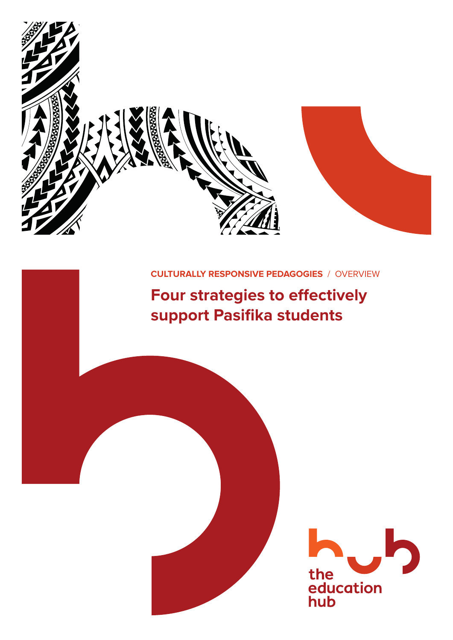

### **CULTURALLY RESPONSIVE PEDAGOGIES** / OVERVIEW

# **Four strategies to effectively support Pasifika students**

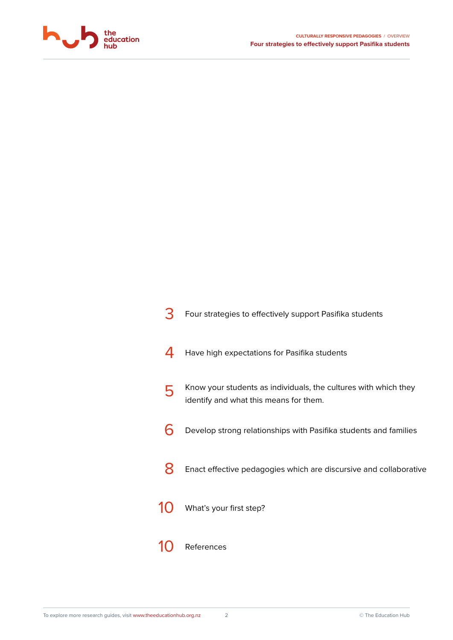

| Four strategies to effectively support Pasifika students                                                  |
|-----------------------------------------------------------------------------------------------------------|
| Have high expectations for Pasifika students                                                              |
| Know your students as individuals, the cultures with which they<br>identify and what this means for them. |
| Develop strong relationships with Pasifika students and families                                          |
| Enact effective pedagogies which are discursive and collaborative                                         |
| What's your first step?                                                                                   |
| References                                                                                                |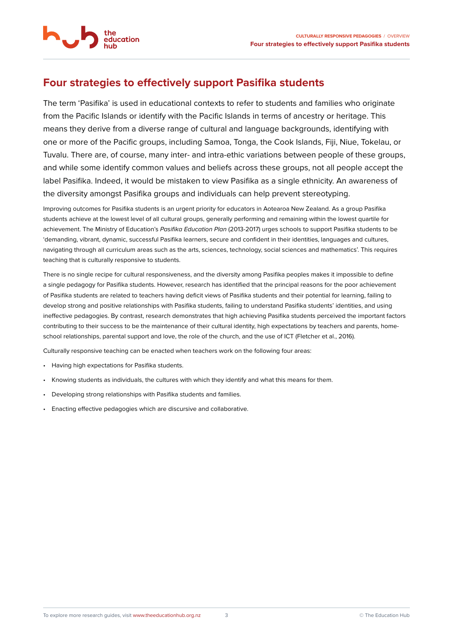<span id="page-2-0"></span>

education

The term 'Pasifika' is used in educational contexts to refer to students and families who originate from the Pacific Islands or identify with the Pacific Islands in terms of ancestry or heritage. This means they derive from a diverse range of cultural and language backgrounds, identifying with one or more of the Pacific groups, including Samoa, Tonga, the Cook Islands, Fiji, Niue, Tokelau, or Tuvalu. There are, of course, many inter- and intra-ethic variations between people of these groups, and while some identify common values and beliefs across these groups, not all people accept the label Pasifika. Indeed, it would be mistaken to view Pasifika as a single ethnicity. An awareness of the diversity amongst Pasifika groups and individuals can help prevent stereotyping.

Improving outcomes for Pasifika students is an urgent priority for educators in Aotearoa New Zealand. As a group Pasifika students achieve at the lowest level of all cultural groups, generally performing and remaining within the lowest quartile for achievement. The Ministry of Education's *Pasifika Education Plan* (2013-2017) urges schools to support Pasifika students to be 'demanding, vibrant, dynamic, successful Pasifika learners, secure and confident in their identities, languages and cultures, navigating through all curriculum areas such as the arts, sciences, technology, social sciences and mathematics'. This requires teaching that is culturally responsive to students.

There is no single recipe for cultural responsiveness, and the diversity among Pasifika peoples makes it impossible to define a single pedagogy for Pasifika students. However, research has identified that the principal reasons for the poor achievement of Pasifika students are related to teachers having deficit views of Pasifika students and their potential for learning, failing to develop strong and positive relationships with Pasifika students, failing to understand Pasifika students' identities, and using ineffective pedagogies. By contrast, research demonstrates that high achieving Pasifika students perceived the important factors contributing to their success to be the maintenance of their cultural identity, high expectations by teachers and parents, homeschool relationships, parental support and love, the role of the church, and the use of ICT (Fletcher et al., 2016).

Culturally responsive teaching can be enacted when teachers work on the following four areas:

- Having high expectations for Pasifika students.
- Knowing students as individuals, the cultures with which they identify and what this means for them.
- Developing strong relationships with Pasifika students and families.
- Enacting effective pedagogies which are discursive and collaborative.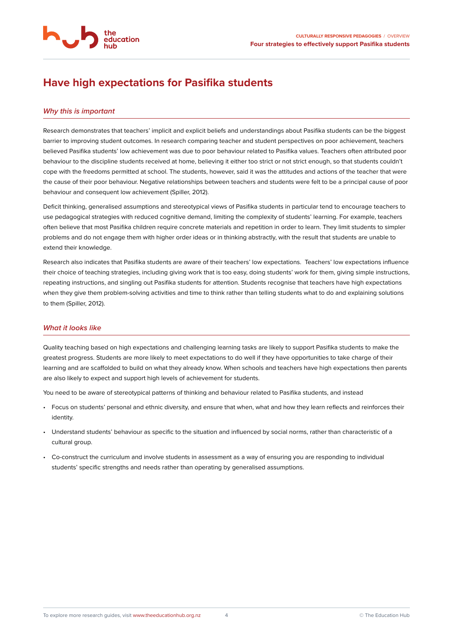<span id="page-3-0"></span>

education

#### *Why this is important*

Research demonstrates that teachers' implicit and explicit beliefs and understandings about Pasifika students can be the biggest barrier to improving student outcomes. In research comparing teacher and student perspectives on poor achievement, teachers believed Pasifika students' low achievement was due to poor behaviour related to Pasifika values. Teachers often attributed poor behaviour to the discipline students received at home, believing it either too strict or not strict enough, so that students couldn't cope with the freedoms permitted at school. The students, however, said it was the attitudes and actions of the teacher that were the cause of their poor behaviour. Negative relationships between teachers and students were felt to be a principal cause of poor behaviour and consequent low achievement (Spiller, 2012).

Deficit thinking, generalised assumptions and stereotypical views of Pasifika students in particular tend to encourage teachers to use pedagogical strategies with reduced cognitive demand, limiting the complexity of students' learning. For example, teachers often believe that most Pasifika children require concrete materials and repetition in order to learn. They limit students to simpler problems and do not engage them with higher order ideas or in thinking abstractly, with the result that students are unable to extend their knowledge.

Research also indicates that Pasifika students are aware of their teachers' low expectations. Teachers' low expectations influence their choice of teaching strategies, including giving work that is too easy, doing students' work for them, giving simple instructions, repeating instructions, and singling out Pasifika students for attention. Students recognise that teachers have high expectations when they give them problem-solving activities and time to think rather than telling students what to do and explaining solutions to them (Spiller, 2012).

#### *What it looks like*

Quality teaching based on high expectations and challenging learning tasks are likely to support Pasifika students to make the greatest progress. Students are more likely to meet expectations to do well if they have opportunities to take charge of their learning and are scaffolded to build on what they already know. When schools and teachers have high expectations then parents are also likely to expect and support high levels of achievement for students.

You need to be aware of stereotypical patterns of thinking and behaviour related to Pasifika students, and instead

- Focus on students' personal and ethnic diversity, and ensure that when, what and how they learn reflects and reinforces their identity.
- Understand students' behaviour as specific to the situation and influenced by social norms, rather than characteristic of a cultural group.
- Co-construct the curriculum and involve students in assessment as a way of ensuring you are responding to individual students' specific strengths and needs rather than operating by generalised assumptions.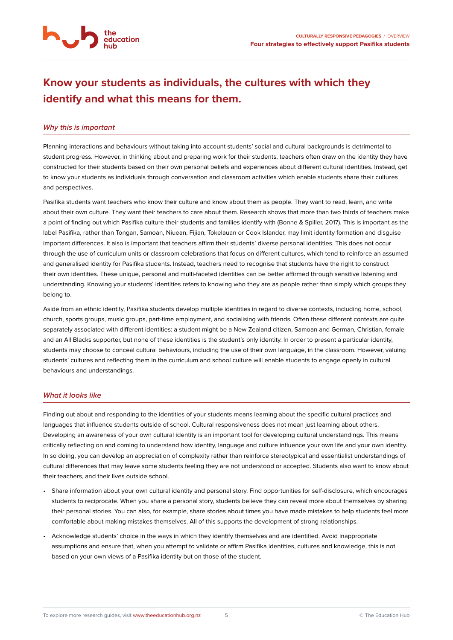# <span id="page-4-0"></span>**Know your students as individuals, the cultures with which they identify and what this means for them.**

#### *Why this is important*

Planning interactions and behaviours without taking into account students' social and cultural backgrounds is detrimental to student progress. However, in thinking about and preparing work for their students, teachers often draw on the identity they have constructed for their students based on their own personal beliefs and experiences about different cultural identities. Instead, get to know your students as individuals through conversation and classroom activities which enable students share their cultures and perspectives.

Pasifika students want teachers who know their culture and know about them as people. They want to read, learn, and write about their own culture. They want their teachers to care about them. Research shows that more than two thirds of teachers make a point of finding out which Pasifika culture their students and families identify with (Bonne & Spiller, 2017). This is important as the label Pasifika, rather than Tongan, Samoan, Niuean, Fijian, Tokelauan or Cook Islander, may limit identity formation and disguise important differences. It also is important that teachers affirm their students' diverse personal identities. This does not occur through the use of curriculum units or classroom celebrations that focus on different cultures, which tend to reinforce an assumed and generalised identity for Pasifika students. Instead, teachers need to recognise that students have the right to construct their own identities. These unique, personal and multi-faceted identities can be better affirmed through sensitive listening and understanding. Knowing your students' identities refers to knowing who they are as people rather than simply which groups they belong to.

Aside from an ethnic identity, Pasifika students develop multiple identities in regard to diverse contexts, including home, school, church, sports groups, music groups, part-time employment, and socialising with friends. Often these different contexts are quite separately associated with different identities: a student might be a New Zealand citizen, Samoan and German, Christian, female and an All Blacks supporter, but none of these identities is the student's only identity. In order to present a particular identity, students may choose to conceal cultural behaviours, including the use of their own language, in the classroom. However, valuing students' cultures and reflecting them in the curriculum and school culture will enable students to engage openly in cultural behaviours and understandings.

#### *What it looks like*

Finding out about and responding to the identities of your students means learning about the specific cultural practices and languages that influence students outside of school. Cultural responsiveness does not mean just learning about others. Developing an awareness of your own cultural identity is an important tool for developing cultural understandings. This means critically reflecting on and coming to understand how identity, language and culture influence your own life and your own identity. In so doing, you can develop an appreciation of complexity rather than reinforce stereotypical and essentialist understandings of cultural differences that may leave some students feeling they are not understood or accepted. Students also want to know about their teachers, and their lives outside school.

- Share information about your own cultural identity and personal story. Find opportunities for self-disclosure, which encourages students to reciprocate. When you share a personal story, students believe they can reveal more about themselves by sharing their personal stories. You can also, for example, share stories about times you have made mistakes to help students feel more comfortable about making mistakes themselves. All of this supports the development of strong relationships.
- Acknowledge students' choice in the ways in which they identify themselves and are identified. Avoid inappropriate assumptions and ensure that, when you attempt to validate or affirm Pasifika identities, cultures and knowledge, this is not based on your own views of a Pasifika identity but on those of the student.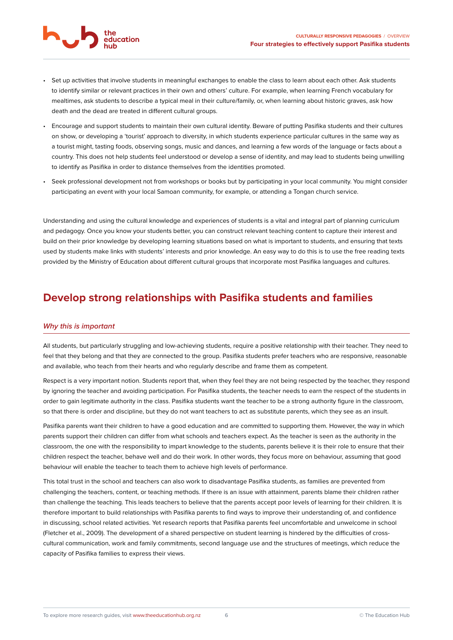- <span id="page-5-0"></span>• Set up activities that involve students in meaningful exchanges to enable the class to learn about each other. Ask students to identify similar or relevant practices in their own and others' culture. For example, when learning French vocabulary for mealtimes, ask students to describe a typical meal in their culture/family, or, when learning about historic graves, ask how death and the dead are treated in different cultural groups.
- Encourage and support students to maintain their own cultural identity. Beware of putting Pasifika students and their cultures on show, or developing a 'tourist' approach to diversity, in which students experience particular cultures in the same way as a tourist might, tasting foods, observing songs, music and dances, and learning a few words of the language or facts about a country. This does not help students feel understood or develop a sense of identity, and may lead to students being unwilling to identify as Pasifika in order to distance themselves from the identities promoted.
- Seek professional development not from workshops or books but by participating in your local community. You might consider participating an event with your local Samoan community, for example, or attending a Tongan church service.

Understanding and using the cultural knowledge and experiences of students is a vital and integral part of planning curriculum and pedagogy. Once you know your students better, you can construct relevant teaching content to capture their interest and build on their prior knowledge by developing learning situations based on what is important to students, and ensuring that texts used by students make links with students' interests and prior knowledge. An easy way to do this is to use the free reading texts provided by the Ministry of Education about different cultural groups that incorporate most Pasifika languages and cultures.

### **Develop strong relationships with Pasifika students and families**

#### *Why this is important*

education

All students, but particularly struggling and low-achieving students, require a positive relationship with their teacher. They need to feel that they belong and that they are connected to the group. Pasifika students prefer teachers who are responsive, reasonable and available, who teach from their hearts and who regularly describe and frame them as competent.

Respect is a very important notion. Students report that, when they feel they are not being respected by the teacher, they respond by ignoring the teacher and avoiding participation. For Pasifika students, the teacher needs to earn the respect of the students in order to gain legitimate authority in the class. Pasifika students want the teacher to be a strong authority figure in the classroom, so that there is order and discipline, but they do not want teachers to act as substitute parents, which they see as an insult.

Pasifika parents want their children to have a good education and are committed to supporting them. However, the way in which parents support their children can differ from what schools and teachers expect. As the teacher is seen as the authority in the classroom, the one with the responsibility to impart knowledge to the students, parents believe it is their role to ensure that their children respect the teacher, behave well and do their work. In other words, they focus more on behaviour, assuming that good behaviour will enable the teacher to teach them to achieve high levels of performance.

This total trust in the school and teachers can also work to disadvantage Pasifika students, as families are prevented from challenging the teachers, content, or teaching methods. If there is an issue with attainment, parents blame their children rather than challenge the teaching. This leads teachers to believe that the parents accept poor levels of learning for their children. It is therefore important to build relationships with Pasifika parents to find ways to improve their understanding of, and confidence in discussing, school related activities. Yet research reports that Pasifika parents feel uncomfortable and unwelcome in school (Fletcher et al., 2009). The development of a shared perspective on student learning is hindered by the difficulties of crosscultural communication, work and family commitments, second language use and the structures of meetings, which reduce the capacity of Pasifika families to express their views.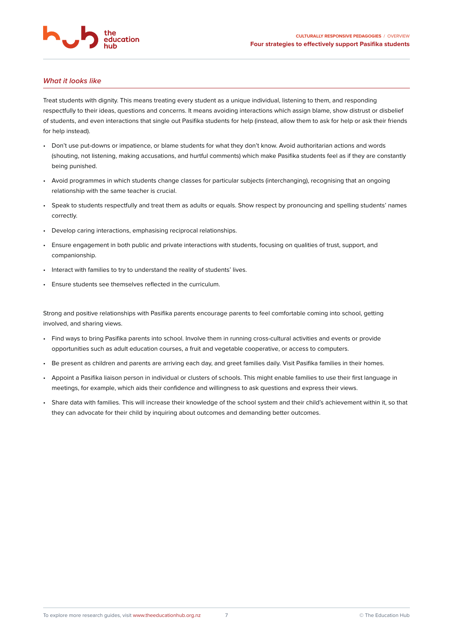

#### *What it looks like*

Treat students with dignity. This means treating every student as a unique individual, listening to them, and responding respectfully to their ideas, questions and concerns. It means avoiding interactions which assign blame, show distrust or disbelief of students, and even interactions that single out Pasifika students for help (instead, allow them to ask for help or ask their friends for help instead).

- Don't use put-downs or impatience, or blame students for what they don't know. Avoid authoritarian actions and words (shouting, not listening, making accusations, and hurtful comments) which make Pasifika students feel as if they are constantly being punished.
- Avoid programmes in which students change classes for particular subjects (interchanging), recognising that an ongoing relationship with the same teacher is crucial.
- Speak to students respectfully and treat them as adults or equals. Show respect by pronouncing and spelling students' names correctly.
- Develop caring interactions, emphasising reciprocal relationships.
- Ensure engagement in both public and private interactions with students, focusing on qualities of trust, support, and companionship.
- Interact with families to try to understand the reality of students' lives.
- Ensure students see themselves reflected in the curriculum.

Strong and positive relationships with Pasifika parents encourage parents to feel comfortable coming into school, getting involved, and sharing views.

- Find ways to bring Pasifika parents into school. Involve them in running cross-cultural activities and events or provide opportunities such as adult education courses, a fruit and vegetable cooperative, or access to computers.
- Be present as children and parents are arriving each day, and greet families daily. Visit Pasifika families in their homes.
- Appoint a Pasifika liaison person in individual or clusters of schools. This might enable families to use their first language in meetings, for example, which aids their confidence and willingness to ask questions and express their views.
- Share data with families. This will increase their knowledge of the school system and their child's achievement within it, so that they can advocate for their child by inquiring about outcomes and demanding better outcomes.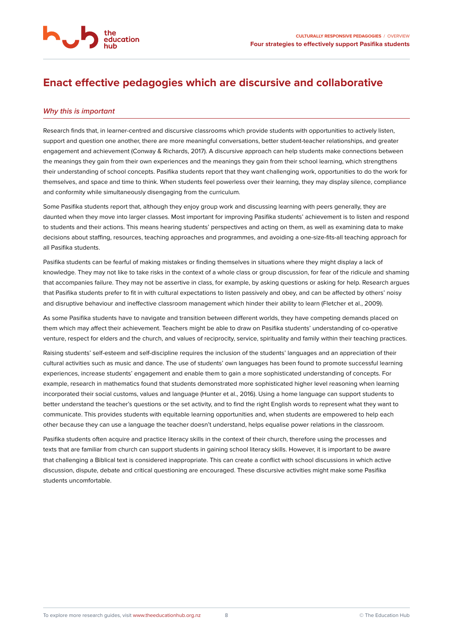# <span id="page-7-0"></span>**Enact effective pedagogies which are discursive and collaborative**

#### *Why this is important*

the education

Research finds that, in learner-centred and discursive classrooms which provide students with opportunities to actively listen, support and question one another, there are more meaningful conversations, better student-teacher relationships, and greater engagement and achievement (Conway & Richards, 2017). A discursive approach can help students make connections between the meanings they gain from their own experiences and the meanings they gain from their school learning, which strengthens their understanding of school concepts. Pasifika students report that they want challenging work, opportunities to do the work for themselves, and space and time to think. When students feel powerless over their learning, they may display silence, compliance and conformity while simultaneously disengaging from the curriculum.

Some Pasifika students report that, although they enjoy group work and discussing learning with peers generally, they are daunted when they move into larger classes. Most important for improving Pasifika students' achievement is to listen and respond to students and their actions. This means hearing students' perspectives and acting on them, as well as examining data to make decisions about staffing, resources, teaching approaches and programmes, and avoiding a one-size-fits-all teaching approach for all Pasifika students.

Pasifika students can be fearful of making mistakes or finding themselves in situations where they might display a lack of knowledge. They may not like to take risks in the context of a whole class or group discussion, for fear of the ridicule and shaming that accompanies failure. They may not be assertive in class, for example, by asking questions or asking for help. Research argues that Pasifika students prefer to fit in with cultural expectations to listen passively and obey, and can be affected by others' noisy and disruptive behaviour and ineffective classroom management which hinder their ability to learn (Fletcher et al., 2009).

As some Pasifika students have to navigate and transition between different worlds, they have competing demands placed on them which may affect their achievement. Teachers might be able to draw on Pasifika students' understanding of co-operative venture, respect for elders and the church, and values of reciprocity, service, spirituality and family within their teaching practices.

Raising students' self-esteem and self-discipline requires the inclusion of the students' languages and an appreciation of their cultural activities such as music and dance. The use of students' own languages has been found to promote successful learning experiences, increase students' engagement and enable them to gain a more sophisticated understanding of concepts. For example, research in mathematics found that students demonstrated more sophisticated higher level reasoning when learning incorporated their social customs, values and language (Hunter et al., 2016). Using a home language can support students to better understand the teacher's questions or the set activity, and to find the right English words to represent what they want to communicate. This provides students with equitable learning opportunities and, when students are empowered to help each other because they can use a language the teacher doesn't understand, helps equalise power relations in the classroom.

Pasifika students often acquire and practice literacy skills in the context of their church, therefore using the processes and texts that are familiar from church can support students in gaining school literacy skills. However, it is important to be aware that challenging a Biblical text is considered inappropriate. This can create a conflict with school discussions in which active discussion, dispute, debate and critical questioning are encouraged. These discursive activities might make some Pasifika students uncomfortable.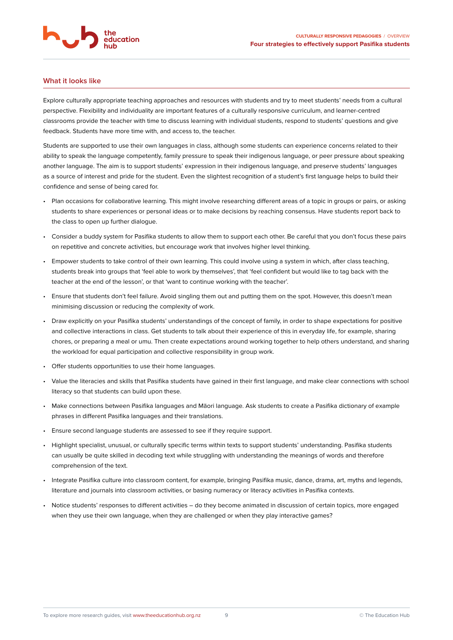#### **What it looks like**

Explore culturally appropriate teaching approaches and resources with students and try to meet students' needs from a cultural perspective. Flexibility and individuality are important features of a culturally responsive curriculum, and learner-centred classrooms provide the teacher with time to discuss learning with individual students, respond to students' questions and give feedback. Students have more time with, and access to, the teacher.

Students are supported to use their own languages in class, although some students can experience concerns related to their ability to speak the language competently, family pressure to speak their indigenous language, or peer pressure about speaking another language. The aim is to support students' expression in their indigenous language, and preserve students' languages as a source of interest and pride for the student. Even the slightest recognition of a student's first language helps to build their confidence and sense of being cared for.

- Plan occasions for collaborative learning. This might involve researching different areas of a topic in groups or pairs, or asking students to share experiences or personal ideas or to make decisions by reaching consensus. Have students report back to the class to open up further dialogue.
- Consider a buddy system for Pasifika students to allow them to support each other. Be careful that you don't focus these pairs on repetitive and concrete activities, but encourage work that involves higher level thinking.
- Empower students to take control of their own learning. This could involve using a system in which, after class teaching, students break into groups that 'feel able to work by themselves', that 'feel confident but would like to tag back with the teacher at the end of the lesson', or that 'want to continue working with the teacher'.
- Ensure that students don't feel failure. Avoid singling them out and putting them on the spot. However, this doesn't mean minimising discussion or reducing the complexity of work.
- Draw explicitly on your Pasifika students' understandings of the concept of family, in order to shape expectations for positive and collective interactions in class. Get students to talk about their experience of this in everyday life, for example, sharing chores, or preparing a meal or umu. Then create expectations around working together to help others understand, and sharing the workload for equal participation and collective responsibility in group work.
- Offer students opportunities to use their home languages.
- Value the literacies and skills that Pasifika students have gained in their first language, and make clear connections with school literacy so that students can build upon these.
- Make connections between Pasifika languages and Māori language. Ask students to create a Pasifika dictionary of example phrases in different Pasifika languages and their translations.
- Ensure second language students are assessed to see if they require support.
- Highlight specialist, unusual, or culturally specific terms within texts to support students' understanding. Pasifika students can usually be quite skilled in decoding text while struggling with understanding the meanings of words and therefore comprehension of the text.
- Integrate Pasifika culture into classroom content, for example, bringing Pasifika music, dance, drama, art, myths and legends, literature and journals into classroom activities, or basing numeracy or literacy activities in Pasifika contexts.
- Notice students' responses to different activities do they become animated in discussion of certain topics, more engaged when they use their own language, when they are challenged or when they play interactive games?